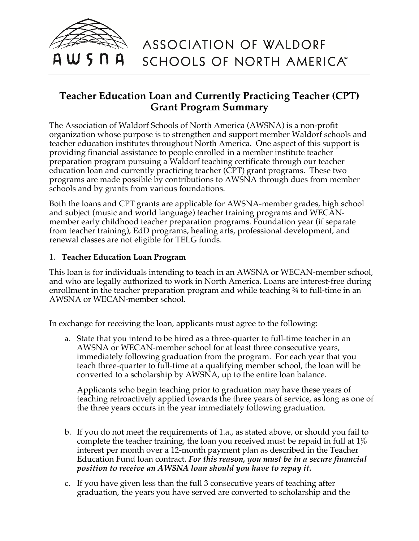

## **Teacher Education Loan and Currently Practicing Teacher (CPT) Grant Program Summary**

The Association of Waldorf Schools of North America (AWSNA) is a non-profit organization whose purpose is to strengthen and support member Waldorf schools and teacher education institutes throughout North America. One aspect of this support is providing financial assistance to people enrolled in a member institute teacher preparation program pursuing a Waldorf teaching certificate through our teacher education loan and currently practicing teacher (CPT) grant programs. These two programs are made possible by contributions to AWSNA through dues from member schools and by grants from various foundations.

Both the loans and CPT grants are applicable for AWSNA-member grades, high school and subject (music and world language) teacher training programs and WECANmember early childhood teacher preparation programs. Foundation year (if separate from teacher training), EdD programs, healing arts, professional development, and renewal classes are not eligible for TELG funds.

## 1. **Teacher Education Loan Program**

This loan is for individuals intending to teach in an AWSNA or WECAN-member school, and who are legally authorized to work in North America. Loans are interest-free during enrollment in the teacher preparation program and while teaching ¾ to full-time in an AWSNA or WECAN-member school.

In exchange for receiving the loan, applicants must agree to the following:

a. State that you intend to be hired as a three-quarter to full-time teacher in an AWSNA or WECAN-member school for at least three consecutive years, immediately following graduation from the program. For each year that you teach three-quarter to full-time at a qualifying member school, the loan will be converted to a scholarship by AWSNA, up to the entire loan balance.

Applicants who begin teaching prior to graduation may have these years of teaching retroactively applied towards the three years of service, as long as one of the three years occurs in the year immediately following graduation.

- b. If you do not meet the requirements of 1.a., as stated above, or should you fail to complete the teacher training, the loan you received must be repaid in full at 1% interest per month over a 12-month payment plan as described in the Teacher Education Fund loan contract. *For this reason, you must be in a secure financial position to receive an AWSNA loan should you have to repay it.*
- c. If you have given less than the full 3 consecutive years of teaching after graduation, the years you have served are converted to scholarship and the